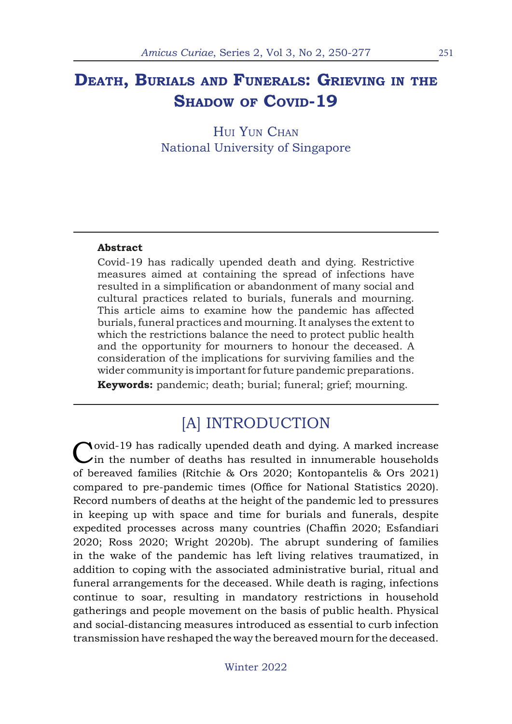## **Death, Burials and Funerals: Grieving in the** SHADOW OF COVID-19

HUI YUN CHAN National University of Singapore

#### **Abstract**

Covid-19 has radically upended death and dying. Restrictive measures aimed at containing the spread of infections have resulted in a simplification or abandonment of many social and cultural practices related to burials, funerals and mourning. This article aims to examine how the pandemic has affected burials, funeral practices and mourning. It analyses the extent to which the restrictions balance the need to protect public health and the opportunity for mourners to honour the deceased. A consideration of the implications for surviving families and the wider community is important for future pandemic preparations.

**Keywords:** pandemic; death; burial; funeral; grief; mourning.

### [A] INTRODUCTION

Covid-19 has radically upended death and dying. A marked increase in the number of deaths has resulted in innumerable households of bereaved families (Ritchie & Ors 2020; Kontopantelis & Ors 2021) compared to pre-pandemic times (Office for National Statistics 2020). Record numbers of deaths at the height of the pandemic led to pressures in keeping up with space and time for burials and funerals, despite expedited processes across many countries (Chaffin 2020; Esfandiari 2020; Ross 2020; Wright 2020b). The abrupt sundering of families in the wake of the pandemic has left living relatives traumatized, in addition to coping with the associated administrative burial, ritual and funeral arrangements for the deceased. While death is raging, infections continue to soar, resulting in mandatory restrictions in household gatherings and people movement on the basis of public health. Physical and social-distancing measures introduced as essential to curb infection transmission have reshaped the way the bereaved mourn for the deceased.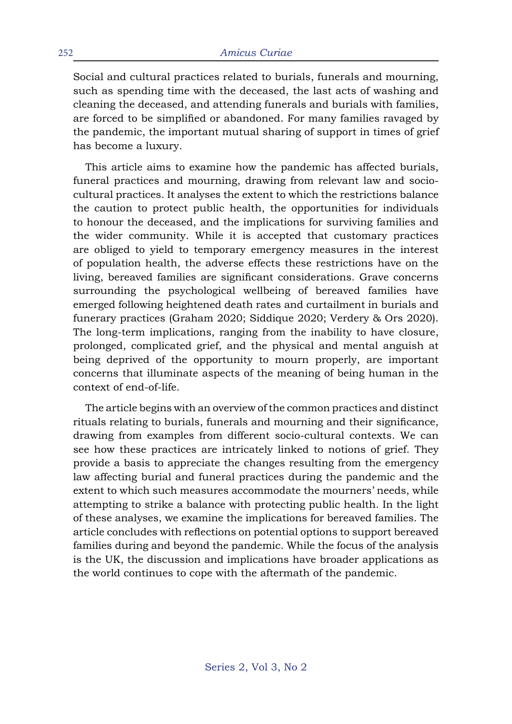Social and cultural practices related to burials, funerals and mourning, such as spending time with the deceased, the last acts of washing and cleaning the deceased, and attending funerals and burials with families, are forced to be simplified or abandoned. For many families ravaged by the pandemic, the important mutual sharing of support in times of grief has become a luxury.

This article aims to examine how the pandemic has affected burials, funeral practices and mourning, drawing from relevant law and sociocultural practices. It analyses the extent to which the restrictions balance the caution to protect public health, the opportunities for individuals to honour the deceased, and the implications for surviving families and the wider community. While it is accepted that customary practices are obliged to yield to temporary emergency measures in the interest of population health, the adverse effects these restrictions have on the living, bereaved families are significant considerations. Grave concerns surrounding the psychological wellbeing of bereaved families have emerged following heightened death rates and curtailment in burials and funerary practices (Graham 2020; Siddique 2020; Verdery & Ors 2020). The long-term implications, ranging from the inability to have closure, prolonged, complicated grief, and the physical and mental anguish at being deprived of the opportunity to mourn properly, are important concerns that illuminate aspects of the meaning of being human in the context of end-of-life.

The article begins with an overview of the common practices and distinct rituals relating to burials, funerals and mourning and their significance, drawing from examples from different socio-cultural contexts. We can see how these practices are intricately linked to notions of grief. They provide a basis to appreciate the changes resulting from the emergency law affecting burial and funeral practices during the pandemic and the extent to which such measures accommodate the mourners' needs, while attempting to strike a balance with protecting public health. In the light of these analyses, we examine the implications for bereaved families. The article concludes with reflections on potential options to support bereaved families during and beyond the pandemic. While the focus of the analysis is the UK, the discussion and implications have broader applications as the world continues to cope with the aftermath of the pandemic.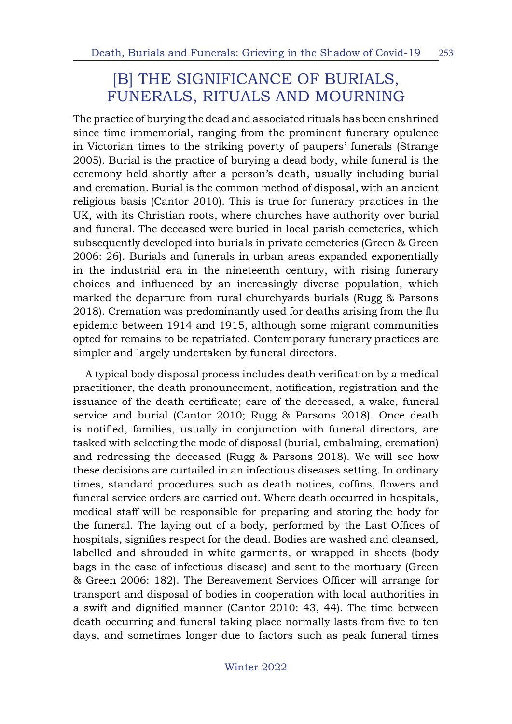### [B] THE SIGNIFICANCE OF BURIALS, FUNERALS, RITUALS AND MOURNING

The practice of burying the dead and associated rituals has been enshrined since time immemorial, ranging from the prominent funerary opulence in Victorian times to the striking poverty of paupers' funerals (Strange 2005). Burial is the practice of burying a dead body, while funeral is the ceremony held shortly after a person's death, usually including burial and cremation. Burial is the common method of disposal, with an ancient religious basis (Cantor 2010). This is true for funerary practices in the UK, with its Christian roots, where churches have authority over burial and funeral. The deceased were buried in local parish cemeteries, which subsequently developed into burials in private cemeteries (Green & Green 2006: 26). Burials and funerals in urban areas expanded exponentially in the industrial era in the nineteenth century, with rising funerary choices and influenced by an increasingly diverse population, which marked the departure from rural churchyards burials (Rugg & Parsons 2018). Cremation was predominantly used for deaths arising from the flu epidemic between 1914 and 1915, although some migrant communities opted for remains to be repatriated. Contemporary funerary practices are simpler and largely undertaken by funeral directors.

A typical body disposal process includes death verification by a medical practitioner, the death pronouncement, notification, registration and the issuance of the death certificate; care of the deceased, a wake, funeral service and burial (Cantor 2010; Rugg & Parsons 2018). Once death is notified, families, usually in conjunction with funeral directors, are tasked with selecting the mode of disposal (burial, embalming, cremation) and redressing the deceased (Rugg & Parsons 2018). We will see how these decisions are curtailed in an infectious diseases setting. In ordinary times, standard procedures such as death notices, coffins, flowers and funeral service orders are carried out. Where death occurred in hospitals, medical staff will be responsible for preparing and storing the body for the funeral. The laying out of a body, performed by the Last Offices of hospitals, signifies respect for the dead. Bodies are washed and cleansed, labelled and shrouded in white garments, or wrapped in sheets (body bags in the case of infectious disease) and sent to the mortuary (Green & Green 2006: 182). The Bereavement Services Officer will arrange for transport and disposal of bodies in cooperation with local authorities in a swift and dignified manner (Cantor 2010: 43, 44). The time between death occurring and funeral taking place normally lasts from five to ten days, and sometimes longer due to factors such as peak funeral times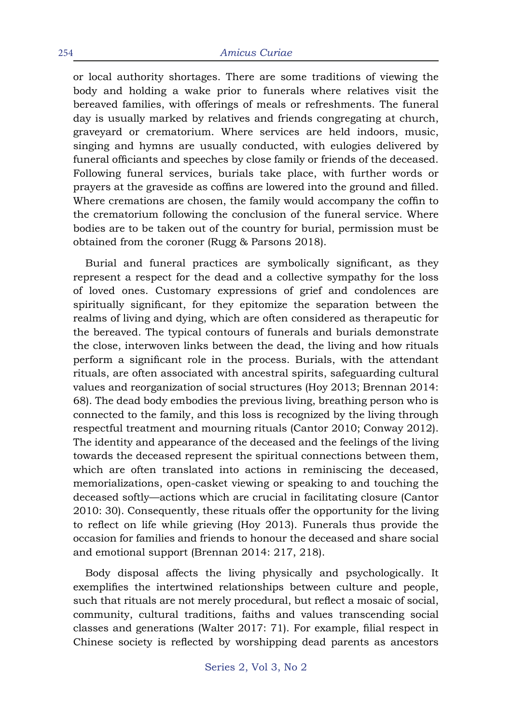or local authority shortages. There are some traditions of viewing the body and holding a wake prior to funerals where relatives visit the bereaved families, with offerings of meals or refreshments. The funeral day is usually marked by relatives and friends congregating at church, graveyard or crematorium. Where services are held indoors, music, singing and hymns are usually conducted, with eulogies delivered by funeral officiants and speeches by close family or friends of the deceased. Following funeral services, burials take place, with further words or prayers at the graveside as coffins are lowered into the ground and filled. Where cremations are chosen, the family would accompany the coffin to the crematorium following the conclusion of the funeral service. Where bodies are to be taken out of the country for burial, permission must be obtained from the coroner (Rugg & Parsons 2018).

Burial and funeral practices are symbolically significant, as they represent a respect for the dead and a collective sympathy for the loss of loved ones. Customary expressions of grief and condolences are spiritually significant, for they epitomize the separation between the realms of living and dying, which are often considered as therapeutic for the bereaved. The typical contours of funerals and burials demonstrate the close, interwoven links between the dead, the living and how rituals perform a significant role in the process. Burials, with the attendant rituals, are often associated with ancestral spirits, safeguarding cultural values and reorganization of social structures (Hoy 2013; Brennan 2014: 68). The dead body embodies the previous living, breathing person who is connected to the family, and this loss is recognized by the living through respectful treatment and mourning rituals (Cantor 2010; Conway 2012). The identity and appearance of the deceased and the feelings of the living towards the deceased represent the spiritual connections between them, which are often translated into actions in reminiscing the deceased, memorializations, open-casket viewing or speaking to and touching the deceased softly—actions which are crucial in facilitating closure (Cantor 2010: 30). Consequently, these rituals offer the opportunity for the living to reflect on life while grieving (Hoy 2013). Funerals thus provide the occasion for families and friends to honour the deceased and share social and emotional support (Brennan 2014: 217, 218).

Body disposal affects the living physically and psychologically. It exemplifies the intertwined relationships between culture and people, such that rituals are not merely procedural, but reflect a mosaic of social, community, cultural traditions, faiths and values transcending social classes and generations (Walter 2017: 71). For example, filial respect in Chinese society is reflected by worshipping dead parents as ancestors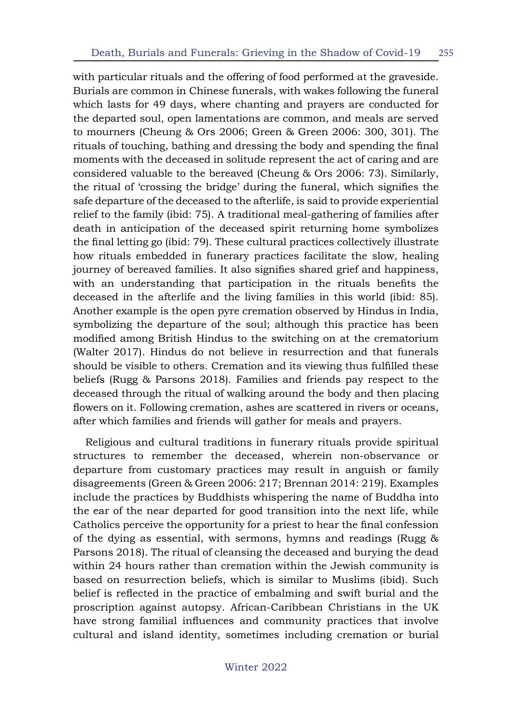with particular rituals and the offering of food performed at the graveside. Burials are common in Chinese funerals, with wakes following the funeral which lasts for 49 days, where chanting and prayers are conducted for the departed soul, open lamentations are common, and meals are served to mourners (Cheung & Ors 2006; Green & Green 2006: 300, 301). The rituals of touching, bathing and dressing the body and spending the final moments with the deceased in solitude represent the act of caring and are considered valuable to the bereaved (Cheung & Ors 2006: 73). Similarly, the ritual of 'crossing the bridge' during the funeral, which signifies the safe departure of the deceased to the afterlife, is said to provide experiential relief to the family (ibid: 75). A traditional meal-gathering of families after death in anticipation of the deceased spirit returning home symbolizes the final letting go (ibid: 79). These cultural practices collectively illustrate how rituals embedded in funerary practices facilitate the slow, healing journey of bereaved families. It also signifies shared grief and happiness, with an understanding that participation in the rituals benefits the deceased in the afterlife and the living families in this world (ibid: 85). Another example is the open pyre cremation observed by Hindus in India, symbolizing the departure of the soul; although this practice has been modified among British Hindus to the switching on at the crematorium (Walter 2017). Hindus do not believe in resurrection and that funerals should be visible to others. Cremation and its viewing thus fulfilled these beliefs (Rugg & Parsons 2018). Families and friends pay respect to the deceased through the ritual of walking around the body and then placing flowers on it. Following cremation, ashes are scattered in rivers or oceans, after which families and friends will gather for meals and prayers.

Religious and cultural traditions in funerary rituals provide spiritual structures to remember the deceased, wherein non-observance or departure from customary practices may result in anguish or family disagreements (Green & Green 2006: 217; Brennan 2014: 219). Examples include the practices by Buddhists whispering the name of Buddha into the ear of the near departed for good transition into the next life, while Catholics perceive the opportunity for a priest to hear the final confession of the dying as essential, with sermons, hymns and readings (Rugg & Parsons 2018). The ritual of cleansing the deceased and burying the dead within 24 hours rather than cremation within the Jewish community is based on resurrection beliefs, which is similar to Muslims (ibid). Such belief is reflected in the practice of embalming and swift burial and the proscription against autopsy. African-Caribbean Christians in the UK have strong familial influences and community practices that involve cultural and island identity, sometimes including cremation or burial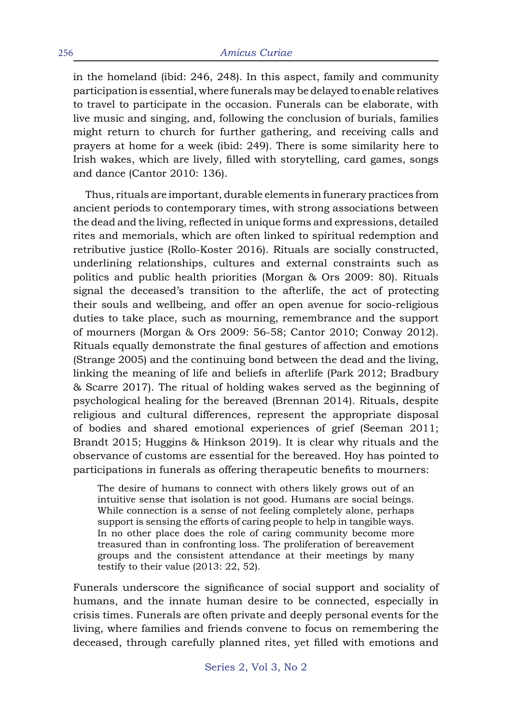in the homeland (ibid: 246, 248). In this aspect, family and community participation is essential, where funerals may be delayed to enable relatives to travel to participate in the occasion. Funerals can be elaborate, with live music and singing, and, following the conclusion of burials, families might return to church for further gathering, and receiving calls and prayers at home for a week (ibid: 249). There is some similarity here to Irish wakes, which are lively, filled with storytelling, card games, songs and dance (Cantor 2010: 136).

Thus, rituals are important, durable elements in funerary practices from ancient periods to contemporary times, with strong associations between the dead and the living, reflected in unique forms and expressions, detailed rites and memorials, which are often linked to spiritual redemption and retributive justice (Rollo-Koster 2016). Rituals are socially constructed, underlining relationships, cultures and external constraints such as politics and public health priorities (Morgan & Ors 2009: 80). Rituals signal the deceased's transition to the afterlife, the act of protecting their souls and wellbeing, and offer an open avenue for socio-religious duties to take place, such as mourning, remembrance and the support of mourners (Morgan & Ors 2009: 56-58; Cantor 2010; Conway 2012). Rituals equally demonstrate the final gestures of affection and emotions (Strange 2005) and the continuing bond between the dead and the living, linking the meaning of life and beliefs in afterlife (Park 2012; Bradbury & Scarre 2017). The ritual of holding wakes served as the beginning of psychological healing for the bereaved (Brennan 2014). Rituals, despite religious and cultural differences, represent the appropriate disposal of bodies and shared emotional experiences of grief (Seeman 2011; Brandt 2015; Huggins & Hinkson 2019). It is clear why rituals and the observance of customs are essential for the bereaved. Hoy has pointed to participations in funerals as offering therapeutic benefits to mourners:

The desire of humans to connect with others likely grows out of an intuitive sense that isolation is not good. Humans are social beings. While connection is a sense of not feeling completely alone, perhaps support is sensing the efforts of caring people to help in tangible ways. In no other place does the role of caring community become more treasured than in confronting loss. The proliferation of bereavement groups and the consistent attendance at their meetings by many testify to their value (2013: 22, 52).

Funerals underscore the significance of social support and sociality of humans, and the innate human desire to be connected, especially in crisis times. Funerals are often private and deeply personal events for the living, where families and friends convene to focus on remembering the deceased, through carefully planned rites, yet filled with emotions and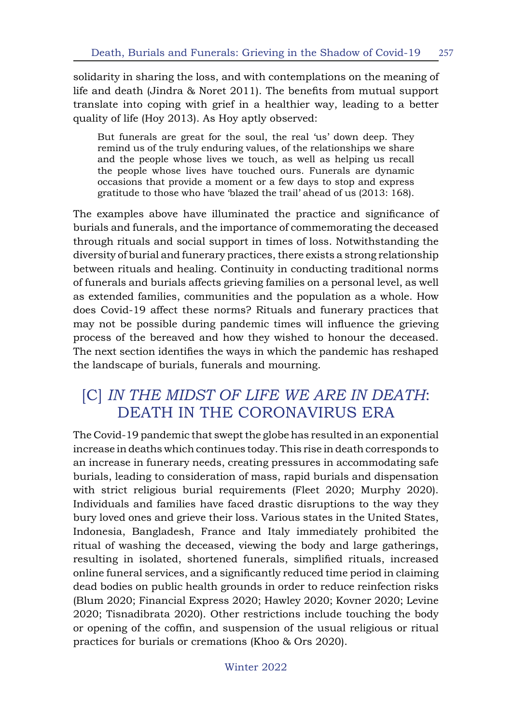solidarity in sharing the loss, and with contemplations on the meaning of life and death (Jindra & Noret 2011). The benefits from mutual support translate into coping with grief in a healthier way, leading to a better quality of life (Hoy 2013). As Hoy aptly observed:

But funerals are great for the soul, the real 'us' down deep. They remind us of the truly enduring values, of the relationships we share and the people whose lives we touch, as well as helping us recall the people whose lives have touched ours. Funerals are dynamic occasions that provide a moment or a few days to stop and express gratitude to those who have 'blazed the trail' ahead of us (2013: 168).

The examples above have illuminated the practice and significance of burials and funerals, and the importance of commemorating the deceased through rituals and social support in times of loss. Notwithstanding the diversity of burial and funerary practices, there exists a strong relationship between rituals and healing. Continuity in conducting traditional norms of funerals and burials affects grieving families on a personal level, as well as extended families, communities and the population as a whole. How does Covid-19 affect these norms? Rituals and funerary practices that may not be possible during pandemic times will influence the grieving process of the bereaved and how they wished to honour the deceased. The next section identifies the ways in which the pandemic has reshaped the landscape of burials, funerals and mourning.

### [C] *IN THE MIDST OF LIFE WE ARE IN DEATH*: DEATH IN THE CORONAVIRUS ERA

The Covid-19 pandemic that swept the globe has resulted in an exponential increase in deaths which continues today. This rise in death corresponds to an increase in funerary needs, creating pressures in accommodating safe burials, leading to consideration of mass, rapid burials and dispensation with strict religious burial requirements (Fleet 2020; Murphy 2020). Individuals and families have faced drastic disruptions to the way they bury loved ones and grieve their loss. Various states in the United States, Indonesia, Bangladesh, France and Italy immediately prohibited the ritual of washing the deceased, viewing the body and large gatherings, resulting in isolated, shortened funerals, simplified rituals, increased online funeral services, and a significantly reduced time period in claiming dead bodies on public health grounds in order to reduce reinfection risks (Blum 2020; Financial Express 2020; Hawley 2020; Kovner 2020; Levine 2020; Tisnadibrata 2020). Other restrictions include touching the body or opening of the coffin, and suspension of the usual religious or ritual practices for burials or cremations (Khoo & Ors 2020).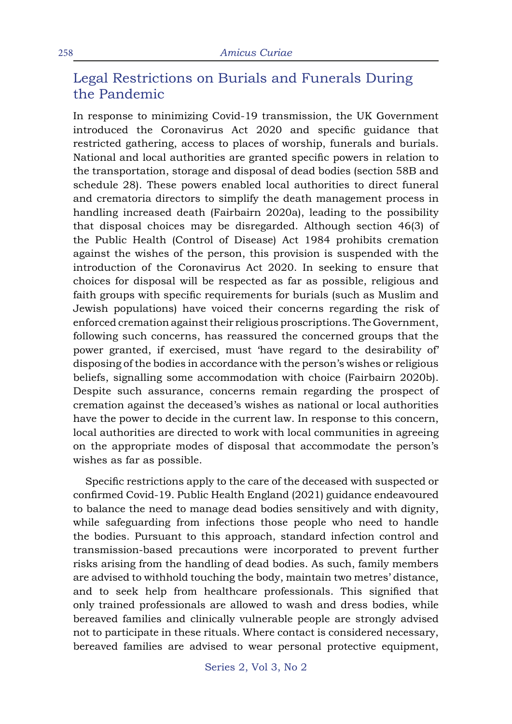### Legal Restrictions on Burials and Funerals During the Pandemic

In response to minimizing Covid-19 transmission, the UK Government introduced the Coronavirus Act 2020 and specific guidance that restricted gathering, access to places of worship, funerals and burials. National and local authorities are granted specific powers in relation to the transportation, storage and disposal of dead bodies (section 58B and schedule 28). These powers enabled local authorities to direct funeral and crematoria directors to simplify the death management process in handling increased death (Fairbairn 2020a), leading to the possibility that disposal choices may be disregarded. Although section 46(3) of the Public Health (Control of Disease) Act 1984 prohibits cremation against the wishes of the person, this provision is suspended with the introduction of the Coronavirus Act 2020. In seeking to ensure that choices for disposal will be respected as far as possible, religious and faith groups with specific requirements for burials (such as Muslim and Jewish populations) have voiced their concerns regarding the risk of enforced cremation against their religious proscriptions. The Government, following such concerns, has reassured the concerned groups that the power granted, if exercised, must 'have regard to the desirability of' disposing of the bodies in accordance with the person's wishes or religious beliefs, signalling some accommodation with choice (Fairbairn 2020b). Despite such assurance, concerns remain regarding the prospect of cremation against the deceased's wishes as national or local authorities have the power to decide in the current law. In response to this concern, local authorities are directed to work with local communities in agreeing on the appropriate modes of disposal that accommodate the person's wishes as far as possible.

Specific restrictions apply to the care of the deceased with suspected or confirmed Covid-19. Public Health England (2021) guidance endeavoured to balance the need to manage dead bodies sensitively and with dignity, while safeguarding from infections those people who need to handle the bodies. Pursuant to this approach, standard infection control and transmission-based precautions were incorporated to prevent further risks arising from the handling of dead bodies. As such, family members are advised to withhold touching the body, maintain two metres' distance, and to seek help from healthcare professionals. This signified that only trained professionals are allowed to wash and dress bodies, while bereaved families and clinically vulnerable people are strongly advised not to participate in these rituals. Where contact is considered necessary, bereaved families are advised to wear personal protective equipment,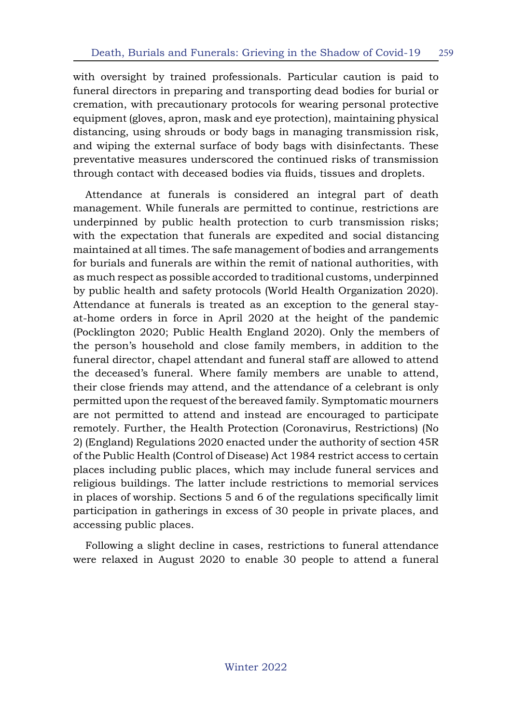with oversight by trained professionals. Particular caution is paid to funeral directors in preparing and transporting dead bodies for burial or cremation, with precautionary protocols for wearing personal protective equipment (gloves, apron, mask and eye protection), maintaining physical distancing, using shrouds or body bags in managing transmission risk, and wiping the external surface of body bags with disinfectants. These preventative measures underscored the continued risks of transmission through contact with deceased bodies via fluids, tissues and droplets.

Attendance at funerals is considered an integral part of death management. While funerals are permitted to continue, restrictions are underpinned by public health protection to curb transmission risks; with the expectation that funerals are expedited and social distancing maintained at all times. The safe management of bodies and arrangements for burials and funerals are within the remit of national authorities, with as much respect as possible accorded to traditional customs, underpinned by public health and safety protocols (World Health Organization 2020). Attendance at funerals is treated as an exception to the general stayat-home orders in force in April 2020 at the height of the pandemic (Pocklington 2020; Public Health England 2020). Only the members of the person's household and close family members, in addition to the funeral director, chapel attendant and funeral staff are allowed to attend the deceased's funeral. Where family members are unable to attend, their close friends may attend, and the attendance of a celebrant is only permitted upon the request of the bereaved family. Symptomatic mourners are not permitted to attend and instead are encouraged to participate remotely. Further, the Health Protection (Coronavirus, Restrictions) (No 2) (England) Regulations 2020 enacted under the authority of section 45R of the Public Health (Control of Disease) Act 1984 restrict access to certain places including public places, which may include funeral services and religious buildings. The latter include restrictions to memorial services in places of worship. Sections 5 and 6 of the regulations specifically limit participation in gatherings in excess of 30 people in private places, and accessing public places.

Following a slight decline in cases, restrictions to funeral attendance were relaxed in August 2020 to enable 30 people to attend a funeral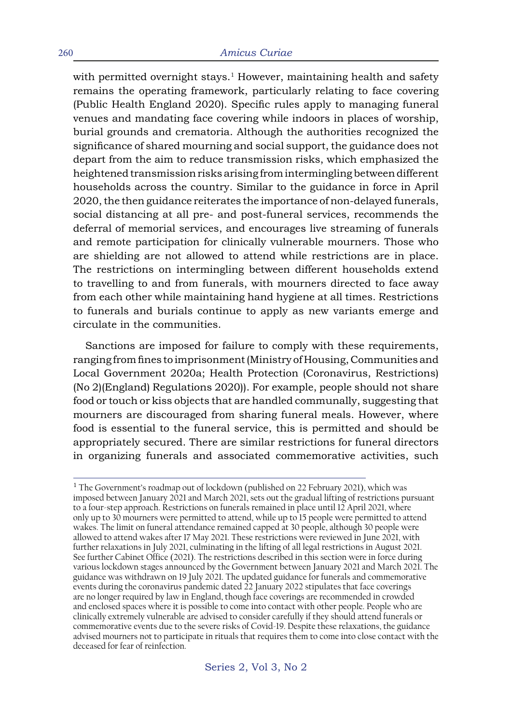with permitted overnight stays.<sup>1</sup> However, maintaining health and safety remains the operating framework, particularly relating to face covering (Public Health England 2020). Specific rules apply to managing funeral venues and mandating face covering while indoors in places of worship, burial grounds and crematoria. Although the authorities recognized the significance of shared mourning and social support, the guidance does not depart from the aim to reduce transmission risks, which emphasized the heightened transmission risks arising from intermingling between different households across the country. Similar to the guidance in force in April 2020, the then guidance reiterates the importance of non-delayed funerals, social distancing at all pre- and post-funeral services, recommends the deferral of memorial services, and encourages live streaming of funerals and remote participation for clinically vulnerable mourners. Those who are shielding are not allowed to attend while restrictions are in place. The restrictions on intermingling between different households extend to travelling to and from funerals, with mourners directed to face away from each other while maintaining hand hygiene at all times. Restrictions to funerals and burials continue to apply as new variants emerge and circulate in the communities.

Sanctions are imposed for failure to comply with these requirements, ranging from fines to imprisonment (Ministry of Housing, Communities and Local Government 2020a; Health Protection (Coronavirus, Restrictions) (No 2)(England) Regulations 2020)). For example, people should not share food or touch or kiss objects that are handled communally, suggesting that mourners are discouraged from sharing funeral meals. However, where food is essential to the funeral service, this is permitted and should be appropriately secured. There are similar restrictions for funeral directors in organizing funerals and associated commemorative activities, such

<sup>&</sup>lt;sup>1</sup> The Government's roadmap out of lockdown (published on 22 February 2021), which was imposed between January 2021 and March 2021, sets out the gradual lifting of restrictions pursuant to a four-step approach. Restrictions on funerals remained in place until 12 April 2021, where only up to 30 mourners were permitted to attend, while up to 15 people were permitted to attend wakes. The limit on funeral attendance remained capped at 30 people, although 30 people were allowed to attend wakes after 17 May 2021. These restrictions were reviewed in June 2021, with further relaxations in July 2021, culminating in the lifting of all legal restrictions in August 2021. See further Cabinet Office (2021). The restrictions described in this section were in force during various lockdown stages announced by the Government between January 2021 and March 2021. The guidance was withdrawn on 19 July 2021. The updated guidance for funerals and commemorative events during the coronavirus pandemic dated 22 January 2022 stipulates that face coverings are no longer required by law in England, though face coverings are recommended in crowded and enclosed spaces where it is possible to come into contact with other people. People who are clinically extremely vulnerable are advised to consider carefully if they should attend funerals or commemorative events due to the severe risks of Covid-19. Despite these relaxations, the guidance advised mourners not to participate in rituals that requires them to come into close contact with the deceased for fear of reinfection.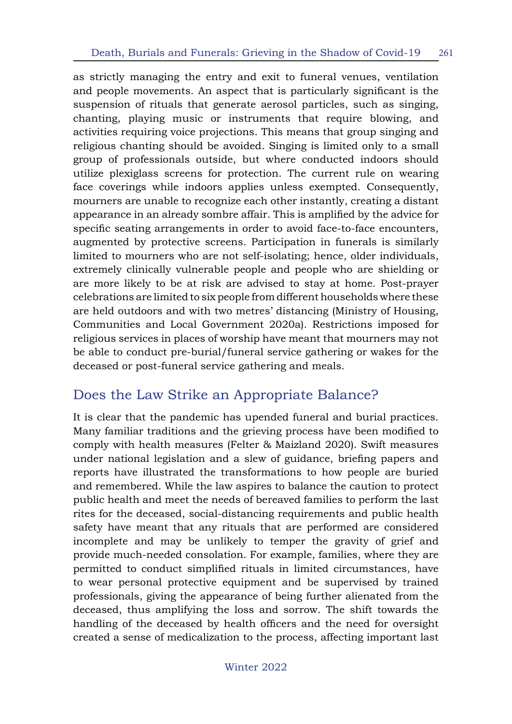as strictly managing the entry and exit to funeral venues, ventilation and people movements. An aspect that is particularly significant is the suspension of rituals that generate aerosol particles, such as singing, chanting, playing music or instruments that require blowing, and activities requiring voice projections. This means that group singing and religious chanting should be avoided. Singing is limited only to a small group of professionals outside, but where conducted indoors should utilize plexiglass screens for protection. The current rule on wearing face coverings while indoors applies unless exempted. Consequently, mourners are unable to recognize each other instantly, creating a distant appearance in an already sombre affair. This is amplified by the advice for specific seating arrangements in order to avoid face-to-face encounters, augmented by protective screens. Participation in funerals is similarly limited to mourners who are not self-isolating; hence, older individuals, extremely clinically vulnerable people and people who are shielding or are more likely to be at risk are advised to stay at home. Post-prayer celebrations are limited to six people from different households where these are held outdoors and with two metres' distancing (Ministry of Housing, Communities and Local Government 2020a). Restrictions imposed for religious services in places of worship have meant that mourners may not be able to conduct pre-burial/funeral service gathering or wakes for the deceased or post-funeral service gathering and meals.

#### Does the Law Strike an Appropriate Balance?

It is clear that the pandemic has upended funeral and burial practices. Many familiar traditions and the grieving process have been modified to comply with health measures (Felter & Maizland 2020). Swift measures under national legislation and a slew of guidance, briefing papers and reports have illustrated the transformations to how people are buried and remembered. While the law aspires to balance the caution to protect public health and meet the needs of bereaved families to perform the last rites for the deceased, social-distancing requirements and public health safety have meant that any rituals that are performed are considered incomplete and may be unlikely to temper the gravity of grief and provide much-needed consolation. For example, families, where they are permitted to conduct simplified rituals in limited circumstances, have to wear personal protective equipment and be supervised by trained professionals, giving the appearance of being further alienated from the deceased, thus amplifying the loss and sorrow. The shift towards the handling of the deceased by health officers and the need for oversight created a sense of medicalization to the process, affecting important last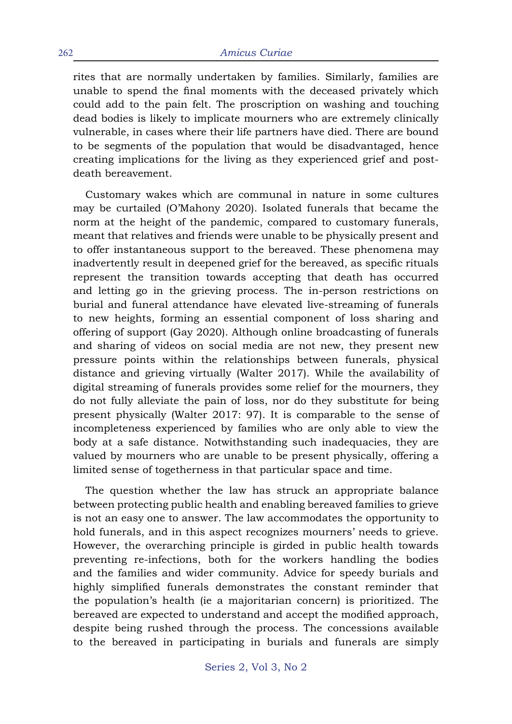rites that are normally undertaken by families. Similarly, families are unable to spend the final moments with the deceased privately which could add to the pain felt. The proscription on washing and touching dead bodies is likely to implicate mourners who are extremely clinically vulnerable, in cases where their life partners have died. There are bound to be segments of the population that would be disadvantaged, hence creating implications for the living as they experienced grief and postdeath bereavement.

Customary wakes which are communal in nature in some cultures may be curtailed (O'Mahony 2020). Isolated funerals that became the norm at the height of the pandemic, compared to customary funerals, meant that relatives and friends were unable to be physically present and to offer instantaneous support to the bereaved. These phenomena may inadvertently result in deepened grief for the bereaved, as specific rituals represent the transition towards accepting that death has occurred and letting go in the grieving process. The in-person restrictions on burial and funeral attendance have elevated live-streaming of funerals to new heights, forming an essential component of loss sharing and offering of support (Gay 2020). Although online broadcasting of funerals and sharing of videos on social media are not new, they present new pressure points within the relationships between funerals, physical distance and grieving virtually (Walter 2017). While the availability of digital streaming of funerals provides some relief for the mourners, they do not fully alleviate the pain of loss, nor do they substitute for being present physically (Walter 2017: 97). It is comparable to the sense of incompleteness experienced by families who are only able to view the body at a safe distance. Notwithstanding such inadequacies, they are valued by mourners who are unable to be present physically, offering a limited sense of togetherness in that particular space and time.

The question whether the law has struck an appropriate balance between protecting public health and enabling bereaved families to grieve is not an easy one to answer. The law accommodates the opportunity to hold funerals, and in this aspect recognizes mourners' needs to grieve. However, the overarching principle is girded in public health towards preventing re-infections, both for the workers handling the bodies and the families and wider community. Advice for speedy burials and highly simplified funerals demonstrates the constant reminder that the population's health (ie a majoritarian concern) is prioritized. The bereaved are expected to understand and accept the modified approach, despite being rushed through the process. The concessions available to the bereaved in participating in burials and funerals are simply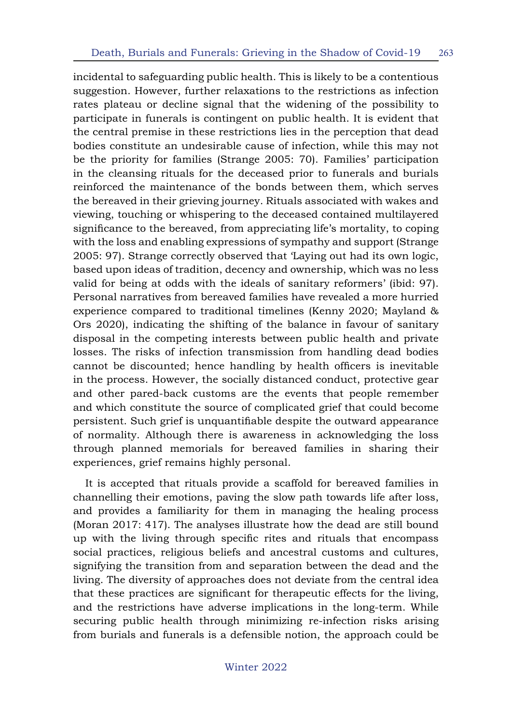incidental to safeguarding public health. This is likely to be a contentious suggestion. However, further relaxations to the restrictions as infection rates plateau or decline signal that the widening of the possibility to participate in funerals is contingent on public health. It is evident that the central premise in these restrictions lies in the perception that dead bodies constitute an undesirable cause of infection, while this may not be the priority for families (Strange 2005: 70). Families' participation in the cleansing rituals for the deceased prior to funerals and burials reinforced the maintenance of the bonds between them, which serves the bereaved in their grieving journey. Rituals associated with wakes and viewing, touching or whispering to the deceased contained multilayered significance to the bereaved, from appreciating life's mortality, to coping with the loss and enabling expressions of sympathy and support (Strange 2005: 97). Strange correctly observed that 'Laying out had its own logic, based upon ideas of tradition, decency and ownership, which was no less valid for being at odds with the ideals of sanitary reformers' (ibid: 97). Personal narratives from bereaved families have revealed a more hurried experience compared to traditional timelines (Kenny 2020; Mayland & Ors 2020), indicating the shifting of the balance in favour of sanitary disposal in the competing interests between public health and private losses. The risks of infection transmission from handling dead bodies cannot be discounted; hence handling by health officers is inevitable in the process. However, the socially distanced conduct, protective gear and other pared-back customs are the events that people remember and which constitute the source of complicated grief that could become persistent. Such grief is unquantifiable despite the outward appearance of normality. Although there is awareness in acknowledging the loss through planned memorials for bereaved families in sharing their experiences, grief remains highly personal.

It is accepted that rituals provide a scaffold for bereaved families in channelling their emotions, paving the slow path towards life after loss, and provides a familiarity for them in managing the healing process (Moran 2017: 417). The analyses illustrate how the dead are still bound up with the living through specific rites and rituals that encompass social practices, religious beliefs and ancestral customs and cultures, signifying the transition from and separation between the dead and the living. The diversity of approaches does not deviate from the central idea that these practices are significant for therapeutic effects for the living, and the restrictions have adverse implications in the long-term. While securing public health through minimizing re-infection risks arising from burials and funerals is a defensible notion, the approach could be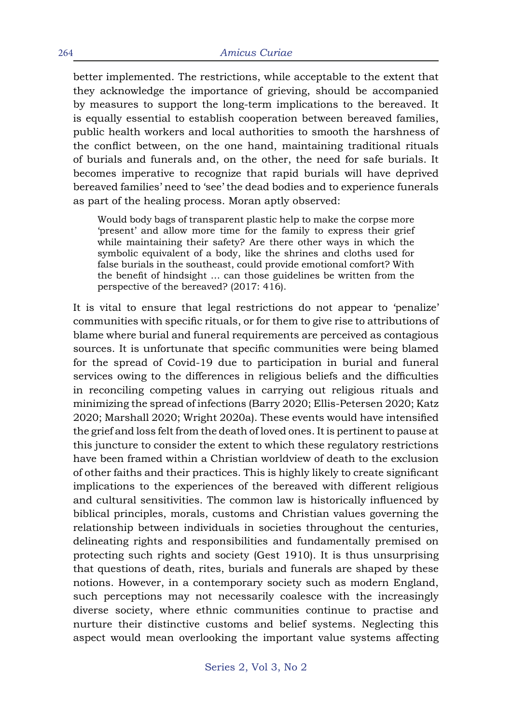better implemented. The restrictions, while acceptable to the extent that they acknowledge the importance of grieving, should be accompanied by measures to support the long-term implications to the bereaved. It is equally essential to establish cooperation between bereaved families, public health workers and local authorities to smooth the harshness of the conflict between, on the one hand, maintaining traditional rituals of burials and funerals and, on the other, the need for safe burials. It becomes imperative to recognize that rapid burials will have deprived bereaved families' need to 'see' the dead bodies and to experience funerals as part of the healing process. Moran aptly observed:

Would body bags of transparent plastic help to make the corpse more 'present' and allow more time for the family to express their grief while maintaining their safety? Are there other ways in which the symbolic equivalent of a body, like the shrines and cloths used for false burials in the southeast, could provide emotional comfort? With the benefit of hindsight … can those guidelines be written from the perspective of the bereaved? (2017: 416).

It is vital to ensure that legal restrictions do not appear to 'penalize' communities with specific rituals, or for them to give rise to attributions of blame where burial and funeral requirements are perceived as contagious sources. It is unfortunate that specific communities were being blamed for the spread of Covid-19 due to participation in burial and funeral services owing to the differences in religious beliefs and the difficulties in reconciling competing values in carrying out religious rituals and minimizing the spread of infections (Barry 2020; Ellis-Petersen 2020; Katz 2020; Marshall 2020; Wright 2020a). These events would have intensified the grief and loss felt from the death of loved ones. It is pertinent to pause at this juncture to consider the extent to which these regulatory restrictions have been framed within a Christian worldview of death to the exclusion of other faiths and their practices. This is highly likely to create significant implications to the experiences of the bereaved with different religious and cultural sensitivities. The common law is historically influenced by biblical principles, morals, customs and Christian values governing the relationship between individuals in societies throughout the centuries, delineating rights and responsibilities and fundamentally premised on protecting such rights and society (Gest 1910). It is thus unsurprising that questions of death, rites, burials and funerals are shaped by these notions. However, in a contemporary society such as modern England, such perceptions may not necessarily coalesce with the increasingly diverse society, where ethnic communities continue to practise and nurture their distinctive customs and belief systems. Neglecting this aspect would mean overlooking the important value systems affecting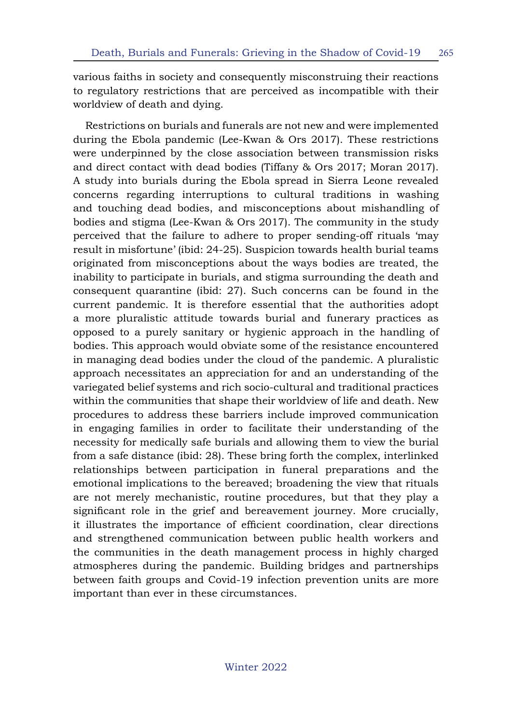various faiths in society and consequently misconstruing their reactions to regulatory restrictions that are perceived as incompatible with their worldview of death and dying.

Restrictions on burials and funerals are not new and were implemented during the Ebola pandemic (Lee-Kwan & Ors 2017). These restrictions were underpinned by the close association between transmission risks and direct contact with dead bodies (Tiffany & Ors 2017; Moran 2017). A study into burials during the Ebola spread in Sierra Leone revealed concerns regarding interruptions to cultural traditions in washing and touching dead bodies, and misconceptions about mishandling of bodies and stigma (Lee-Kwan & Ors 2017). The community in the study perceived that the failure to adhere to proper sending-off rituals 'may result in misfortune' (ibid: 24-25). Suspicion towards health burial teams originated from misconceptions about the ways bodies are treated, the inability to participate in burials, and stigma surrounding the death and consequent quarantine (ibid: 27). Such concerns can be found in the current pandemic. It is therefore essential that the authorities adopt a more pluralistic attitude towards burial and funerary practices as opposed to a purely sanitary or hygienic approach in the handling of bodies. This approach would obviate some of the resistance encountered in managing dead bodies under the cloud of the pandemic. A pluralistic approach necessitates an appreciation for and an understanding of the variegated belief systems and rich socio-cultural and traditional practices within the communities that shape their worldview of life and death. New procedures to address these barriers include improved communication in engaging families in order to facilitate their understanding of the necessity for medically safe burials and allowing them to view the burial from a safe distance (ibid: 28). These bring forth the complex, interlinked relationships between participation in funeral preparations and the emotional implications to the bereaved; broadening the view that rituals are not merely mechanistic, routine procedures, but that they play a significant role in the grief and bereavement journey. More crucially, it illustrates the importance of efficient coordination, clear directions and strengthened communication between public health workers and the communities in the death management process in highly charged atmospheres during the pandemic. Building bridges and partnerships between faith groups and Covid-19 infection prevention units are more important than ever in these circumstances.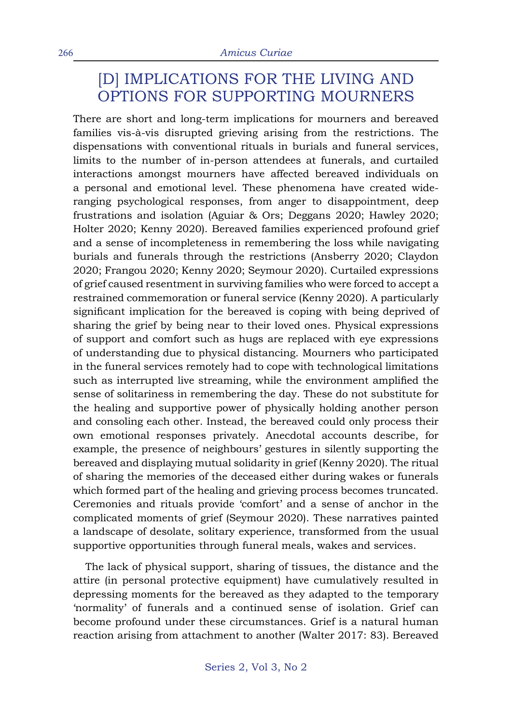### [D] IMPLICATIONS FOR THE LIVING AND OPTIONS FOR SUPPORTING MOURNERS

There are short and long-term implications for mourners and bereaved families vis-à-vis disrupted grieving arising from the restrictions. The dispensations with conventional rituals in burials and funeral services, limits to the number of in-person attendees at funerals, and curtailed interactions amongst mourners have affected bereaved individuals on a personal and emotional level. These phenomena have created wideranging psychological responses, from anger to disappointment, deep frustrations and isolation (Aguiar & Ors; Deggans 2020; Hawley 2020; Holter 2020; Kenny 2020). Bereaved families experienced profound grief and a sense of incompleteness in remembering the loss while navigating burials and funerals through the restrictions (Ansberry 2020; Claydon 2020; Frangou 2020; Kenny 2020; Seymour 2020). Curtailed expressions of grief caused resentment in surviving families who were forced to accept a restrained commemoration or funeral service (Kenny 2020). A particularly significant implication for the bereaved is coping with being deprived of sharing the grief by being near to their loved ones. Physical expressions of support and comfort such as hugs are replaced with eye expressions of understanding due to physical distancing. Mourners who participated in the funeral services remotely had to cope with technological limitations such as interrupted live streaming, while the environment amplified the sense of solitariness in remembering the day. These do not substitute for the healing and supportive power of physically holding another person and consoling each other. Instead, the bereaved could only process their own emotional responses privately. Anecdotal accounts describe, for example, the presence of neighbours' gestures in silently supporting the bereaved and displaying mutual solidarity in grief (Kenny 2020). The ritual of sharing the memories of the deceased either during wakes or funerals which formed part of the healing and grieving process becomes truncated. Ceremonies and rituals provide 'comfort' and a sense of anchor in the complicated moments of grief (Seymour 2020). These narratives painted a landscape of desolate, solitary experience, transformed from the usual supportive opportunities through funeral meals, wakes and services.

The lack of physical support, sharing of tissues, the distance and the attire (in personal protective equipment) have cumulatively resulted in depressing moments for the bereaved as they adapted to the temporary 'normality' of funerals and a continued sense of isolation. Grief can become profound under these circumstances. Grief is a natural human reaction arising from attachment to another (Walter 2017: 83). Bereaved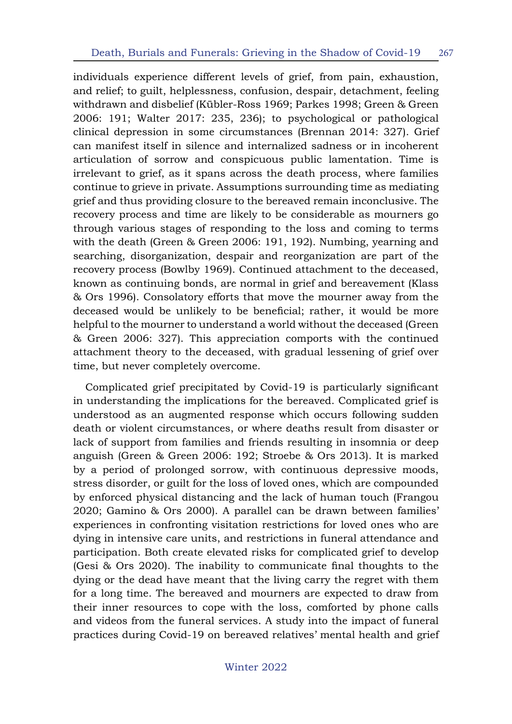individuals experience different levels of grief, from pain, exhaustion, and relief; to guilt, helplessness, confusion, despair, detachment, feeling withdrawn and disbelief (Kübler-Ross 1969; Parkes 1998; Green & Green 2006: 191; Walter 2017: 235, 236); to psychological or pathological clinical depression in some circumstances (Brennan 2014: 327). Grief can manifest itself in silence and internalized sadness or in incoherent articulation of sorrow and conspicuous public lamentation. Time is irrelevant to grief, as it spans across the death process, where families continue to grieve in private. Assumptions surrounding time as mediating grief and thus providing closure to the bereaved remain inconclusive. The recovery process and time are likely to be considerable as mourners go through various stages of responding to the loss and coming to terms with the death (Green & Green 2006: 191, 192). Numbing, yearning and searching, disorganization, despair and reorganization are part of the recovery process (Bowlby 1969). Continued attachment to the deceased, known as continuing bonds, are normal in grief and bereavement (Klass & Ors 1996). Consolatory efforts that move the mourner away from the deceased would be unlikely to be beneficial; rather, it would be more helpful to the mourner to understand a world without the deceased (Green & Green 2006: 327). This appreciation comports with the continued attachment theory to the deceased, with gradual lessening of grief over time, but never completely overcome.

Complicated grief precipitated by Covid-19 is particularly significant in understanding the implications for the bereaved. Complicated grief is understood as an augmented response which occurs following sudden death or violent circumstances, or where deaths result from disaster or lack of support from families and friends resulting in insomnia or deep anguish (Green & Green 2006: 192; Stroebe & Ors 2013). It is marked by a period of prolonged sorrow, with continuous depressive moods, stress disorder, or guilt for the loss of loved ones, which are compounded by enforced physical distancing and the lack of human touch (Frangou 2020; Gamino & Ors 2000). A parallel can be drawn between families' experiences in confronting visitation restrictions for loved ones who are dying in intensive care units, and restrictions in funeral attendance and participation. Both create elevated risks for complicated grief to develop (Gesi & Ors 2020). The inability to communicate final thoughts to the dying or the dead have meant that the living carry the regret with them for a long time. The bereaved and mourners are expected to draw from their inner resources to cope with the loss, comforted by phone calls and videos from the funeral services. A study into the impact of funeral practices during Covid-19 on bereaved relatives' mental health and grief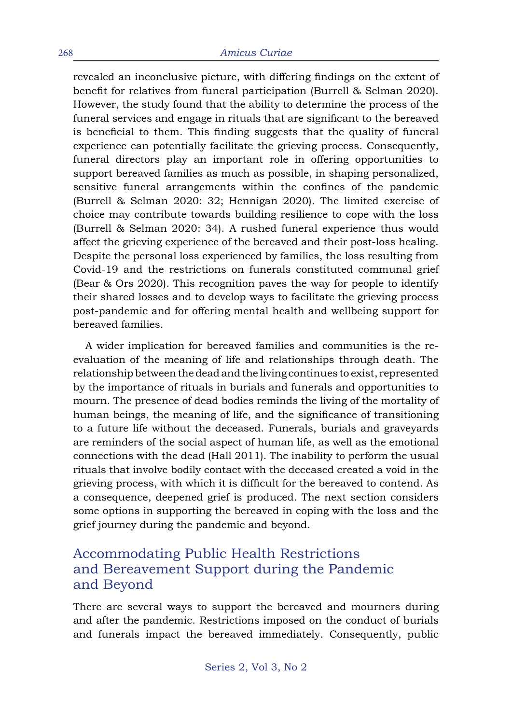revealed an inconclusive picture, with differing findings on the extent of benefit for relatives from funeral participation (Burrell & Selman 2020). However, the study found that the ability to determine the process of the funeral services and engage in rituals that are significant to the bereaved is beneficial to them. This finding suggests that the quality of funeral experience can potentially facilitate the grieving process. Consequently, funeral directors play an important role in offering opportunities to support bereaved families as much as possible, in shaping personalized, sensitive funeral arrangements within the confines of the pandemic (Burrell & Selman 2020: 32; Hennigan 2020). The limited exercise of choice may contribute towards building resilience to cope with the loss (Burrell & Selman 2020: 34). A rushed funeral experience thus would affect the grieving experience of the bereaved and their post-loss healing. Despite the personal loss experienced by families, the loss resulting from Covid-19 and the restrictions on funerals constituted communal grief (Bear & Ors 2020). This recognition paves the way for people to identify their shared losses and to develop ways to facilitate the grieving process post-pandemic and for offering mental health and wellbeing support for bereaved families.

A wider implication for bereaved families and communities is the reevaluation of the meaning of life and relationships through death. The relationship between the dead and the living continues to exist, represented by the importance of rituals in burials and funerals and opportunities to mourn. The presence of dead bodies reminds the living of the mortality of human beings, the meaning of life, and the significance of transitioning to a future life without the deceased. Funerals, burials and graveyards are reminders of the social aspect of human life, as well as the emotional connections with the dead (Hall 2011). The inability to perform the usual rituals that involve bodily contact with the deceased created a void in the grieving process, with which it is difficult for the bereaved to contend. As a consequence, deepened grief is produced. The next section considers some options in supporting the bereaved in coping with the loss and the grief journey during the pandemic and beyond.

### Accommodating Public Health Restrictions and Bereavement Support during the Pandemic and Beyond

There are several ways to support the bereaved and mourners during and after the pandemic. Restrictions imposed on the conduct of burials and funerals impact the bereaved immediately. Consequently, public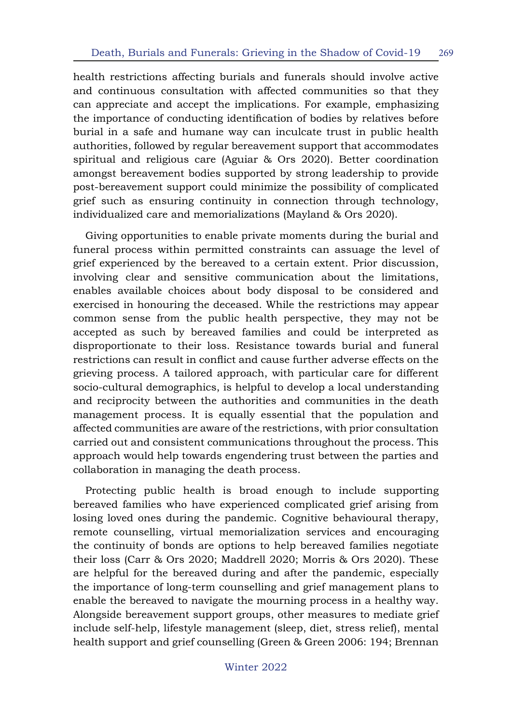health restrictions affecting burials and funerals should involve active and continuous consultation with affected communities so that they can appreciate and accept the implications. For example, emphasizing the importance of conducting identification of bodies by relatives before burial in a safe and humane way can inculcate trust in public health authorities, followed by regular bereavement support that accommodates spiritual and religious care (Aguiar & Ors 2020). Better coordination amongst bereavement bodies supported by strong leadership to provide post-bereavement support could minimize the possibility of complicated grief such as ensuring continuity in connection through technology, individualized care and memorializations (Mayland & Ors 2020).

Giving opportunities to enable private moments during the burial and funeral process within permitted constraints can assuage the level of grief experienced by the bereaved to a certain extent. Prior discussion, involving clear and sensitive communication about the limitations, enables available choices about body disposal to be considered and exercised in honouring the deceased. While the restrictions may appear common sense from the public health perspective, they may not be accepted as such by bereaved families and could be interpreted as disproportionate to their loss. Resistance towards burial and funeral restrictions can result in conflict and cause further adverse effects on the grieving process. A tailored approach, with particular care for different socio-cultural demographics, is helpful to develop a local understanding and reciprocity between the authorities and communities in the death management process. It is equally essential that the population and affected communities are aware of the restrictions, with prior consultation carried out and consistent communications throughout the process. This approach would help towards engendering trust between the parties and collaboration in managing the death process.

Protecting public health is broad enough to include supporting bereaved families who have experienced complicated grief arising from losing loved ones during the pandemic. Cognitive behavioural therapy, remote counselling, virtual memorialization services and encouraging the continuity of bonds are options to help bereaved families negotiate their loss (Carr & Ors 2020; Maddrell 2020; Morris & Ors 2020). These are helpful for the bereaved during and after the pandemic, especially the importance of long-term counselling and grief management plans to enable the bereaved to navigate the mourning process in a healthy way. Alongside bereavement support groups, other measures to mediate grief include self-help, lifestyle management (sleep, diet, stress relief), mental health support and grief counselling (Green & Green 2006: 194; Brennan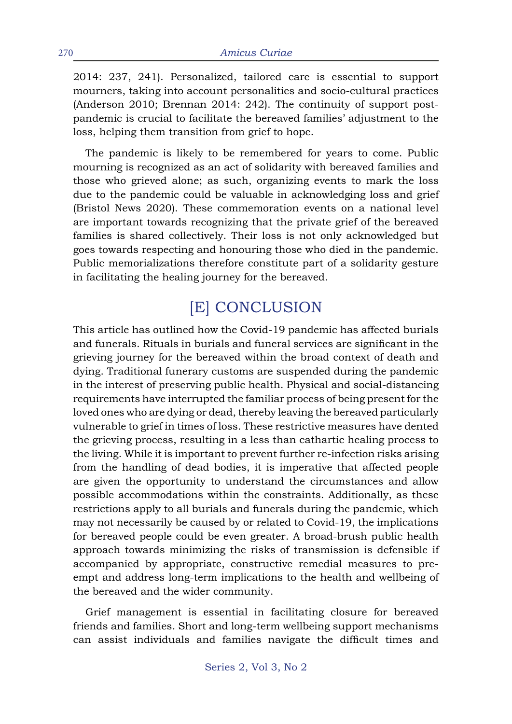2014: 237, 241). Personalized, tailored care is essential to support mourners, taking into account personalities and socio-cultural practices (Anderson 2010; Brennan 2014: 242). The continuity of support postpandemic is crucial to facilitate the bereaved families' adjustment to the loss, helping them transition from grief to hope.

The pandemic is likely to be remembered for years to come. Public mourning is recognized as an act of solidarity with bereaved families and those who grieved alone; as such, organizing events to mark the loss due to the pandemic could be valuable in acknowledging loss and grief (Bristol News 2020). These commemoration events on a national level are important towards recognizing that the private grief of the bereaved families is shared collectively. Their loss is not only acknowledged but goes towards respecting and honouring those who died in the pandemic. Public memorializations therefore constitute part of a solidarity gesture in facilitating the healing journey for the bereaved.

# [E] CONCLUSION

This article has outlined how the Covid-19 pandemic has affected burials and funerals. Rituals in burials and funeral services are significant in the grieving journey for the bereaved within the broad context of death and dying. Traditional funerary customs are suspended during the pandemic in the interest of preserving public health. Physical and social-distancing requirements have interrupted the familiar process of being present for the loved ones who are dying or dead, thereby leaving the bereaved particularly vulnerable to grief in times of loss. These restrictive measures have dented the grieving process, resulting in a less than cathartic healing process to the living. While it is important to prevent further re-infection risks arising from the handling of dead bodies, it is imperative that affected people are given the opportunity to understand the circumstances and allow possible accommodations within the constraints. Additionally, as these restrictions apply to all burials and funerals during the pandemic, which may not necessarily be caused by or related to Covid-19, the implications for bereaved people could be even greater. A broad-brush public health approach towards minimizing the risks of transmission is defensible if accompanied by appropriate, constructive remedial measures to preempt and address long-term implications to the health and wellbeing of the bereaved and the wider community.

Grief management is essential in facilitating closure for bereaved friends and families. Short and long-term wellbeing support mechanisms can assist individuals and families navigate the difficult times and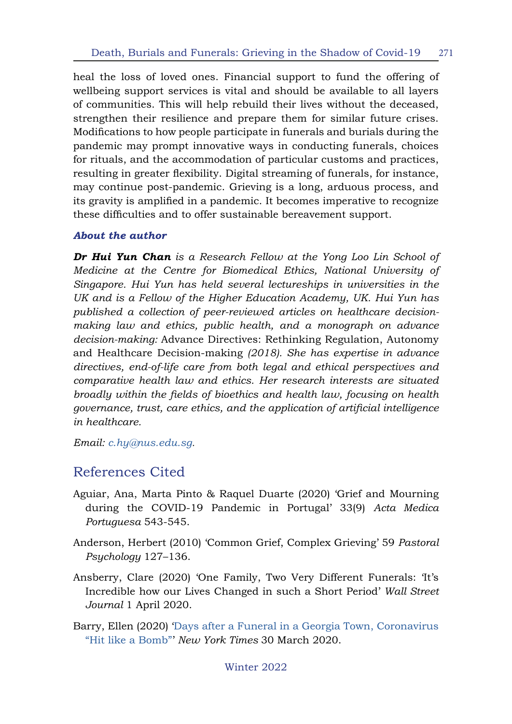heal the loss of loved ones. Financial support to fund the offering of wellbeing support services is vital and should be available to all layers of communities. This will help rebuild their lives without the deceased, strengthen their resilience and prepare them for similar future crises. Modifications to how people participate in funerals and burials during the pandemic may prompt innovative ways in conducting funerals, choices for rituals, and the accommodation of particular customs and practices, resulting in greater flexibility. Digital streaming of funerals, for instance, may continue post-pandemic. Grieving is a long, arduous process, and its gravity is amplified in a pandemic. It becomes imperative to recognize these difficulties and to offer sustainable bereavement support.

#### *About the author*

*Dr Hui Yun Chan is a Research Fellow at the Yong Loo Lin School of Medicine at the Centre for Biomedical Ethics, National University of Singapore. Hui Yun has held several lectureships in universities in the UK and is a Fellow of the Higher Education Academy, UK. Hui Yun has published a collection of peer-reviewed articles on healthcare decisionmaking law and ethics, public health, and a monograph on advance decision-making:* Advance Directives: Rethinking Regulation, Autonomy and Healthcare Decision-making *(2018). She has expertise in advance directives, end-of-life care from both legal and ethical perspectives and comparative health law and ethics. Her research interests are situated broadly within the fields of bioethics and health law, focusing on health governance, trust, care ethics, and the application of artificial intelligence in healthcare.* 

*Email: [c.hy@nus.edu.sg](mailto:c.hy%40nus.edu.sg?subject=).*

### References Cited

- Aguiar, Ana, Marta Pinto & Raquel Duarte (2020) 'Grief and Mourning during the COVID-19 Pandemic in Portugal' 33(9) *Acta Medica Portuguesa* 543-545.
- Anderson, Herbert (2010) 'Common Grief, Complex Grieving' 59 *Pastoral Psychology* 127–136.
- Ansberry, Clare (2020) 'One Family, Two Very Different Funerals: 'It's Incredible how our Lives Changed in such a Short Period' *Wall Street Journal* 1 April 2020.
- Barry, Ellen (2020) ['Days after a Funeral in a Georgia Town, Coronavirus](https://www.nytimes.com/2020/03/30/us/coronavirus-funeral-albany-georgia.html) ["Hit like a Bomb"](https://www.nytimes.com/2020/03/30/us/coronavirus-funeral-albany-georgia.html)' *New York Times* 30 March 2020.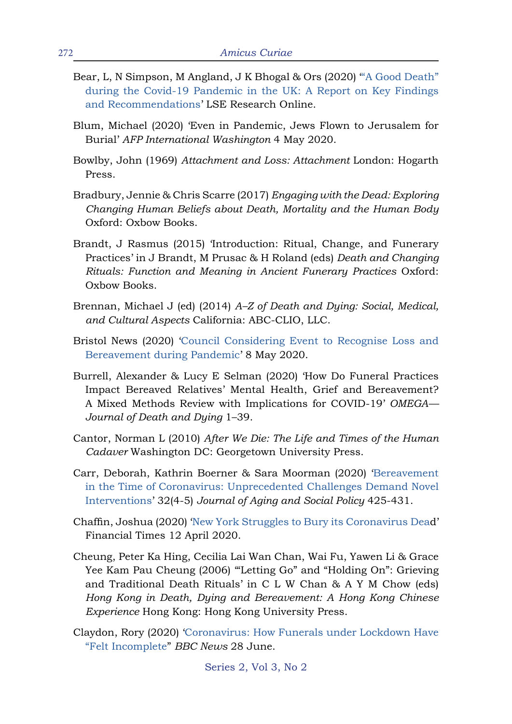- Bear, L, N Simpson, M Angland, J K Bhogal & Ors (2020) "A Good Death" [during the Covid-19 Pandemic in the UK: A Report on Key Findings](http://eprints.lse.ac.uk/104143/) [and Recommendations](http://eprints.lse.ac.uk/104143/)' LSE Research Online.
- Blum, Michael (2020) 'Even in Pandemic, Jews Flown to Jerusalem for Burial' *AFP International Washington* 4 May 2020.
- Bowlby, John (1969) *Attachment and Loss: Attachment* London: Hogarth Press.
- Bradbury, Jennie & Chris Scarre (2017) *Engaging with the Dead: Exploring Changing Human Beliefs about Death, Mortality and the Human Body*  Oxford: Oxbow Books.
- Brandt, J Rasmus (2015) 'Introduction: Ritual, Change, and Funerary Practices' in J Brandt, M Prusac & H Roland (eds) *Death and Changing Rituals: Function and Meaning in Ancient Funerary Practices* Oxford: Oxbow Books.
- Brennan, Michael J (ed) (2014) *A–Z of Death and Dying: Social, Medical, and Cultural Aspects* California: ABC-CLIO, LLC.
- Bristol News (2020) ['Council Considering Event to Recognise Loss and](https://www.bristolpost.co.uk/news/bristol-news/bristol-considers-public-event-mourn-4114002) [Bereavement during Pandemic'](https://www.bristolpost.co.uk/news/bristol-news/bristol-considers-public-event-mourn-4114002) 8 May 2020.
- Burrell, Alexander & Lucy E Selman (2020) 'How Do Funeral Practices Impact Bereaved Relatives' Mental Health, Grief and Bereavement? A Mixed Methods Review with Implications for COVID-19' *OMEGA— Journal of Death and Dying* 1–39.
- Cantor, Norman L (2010) *After We Die: The Life and Times of the Human Cadaver* Washington DC: Georgetown University Press.
- Carr, Deborah, Kathrin Boerner & Sara Moorman (2020) '[Bereavement](http:/doi.org/10.1080/08959420.2020.1764320) [in the Time of Coronavirus: Unprecedented Challenges Demand Novel](http:/doi.org/10.1080/08959420.2020.1764320) [Interventions'](http:/doi.org/10.1080/08959420.2020.1764320) 32(4-5) *Journal of Aging and Social Policy* 425-431.
- Chaffin, Joshua (2020) '[New York Struggles to Bury its Coronavirus Dea](https://www.ft.com/content/193a5792-10ef-4b3c-82e0-298c2180ba9c)d' Financial Times 12 April 2020.
- Cheung, Peter Ka Hing, Cecilia Lai Wan Chan, Wai Fu, Yawen Li & Grace Yee Kam Pau Cheung (2006) "Letting Go" and "Holding On": Grieving and Traditional Death Rituals' in C L W Chan & A Y M Chow (eds) *Hong Kong in Death, Dying and Bereavement: A Hong Kong Chinese Experience* Hong Kong: Hong Kong University Press.
- Claydon, Rory (2020) '[Coronavirus: How Funerals under Lockdown Have](https://www.bbc.co.uk/news/uk-england-merseyside-52919218) ["Felt Incomplete](https://www.bbc.co.uk/news/uk-england-merseyside-52919218)" *BBC News* 28 June.

Series 2, Vol 3, No 2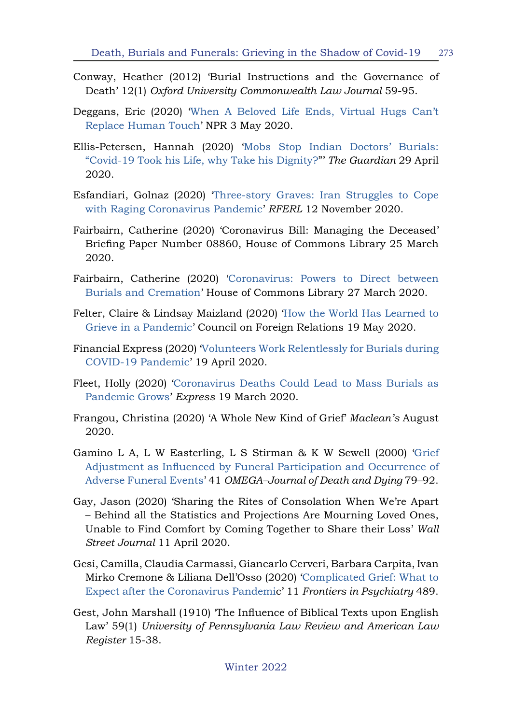- Conway, Heather (2012) 'Burial Instructions and the Governance of Death' 12(1) *Oxford University Commonwealth Law Journal* 59-95.
- Deggans, Eric (2020) ['When A Beloved Life Ends, Virtual Hugs Can't](https://www.npr.org/sections/health-shots/2020/05/03/844806361/when-a-beloved-life-ends-virtual-hugs-cant-replace-human-touch) [Replace Human Touch](https://www.npr.org/sections/health-shots/2020/05/03/844806361/when-a-beloved-life-ends-virtual-hugs-cant-replace-human-touch)' NPR 3 May 2020.
- Ellis-Petersen, Hannah (2020) '[Mobs Stop Indian Doctors' Burials:](https://www.theguardian.com/world/2020/apr/29/mobs-stop-indian-doctors-burials-covid-19) ["Covid-19 Took his Life, why Take his Dignity?](https://www.theguardian.com/world/2020/apr/29/mobs-stop-indian-doctors-burials-covid-19)"' *The Guardian* 29 April 2020.
- Esfandiari, Golnaz (2020) ['Three-story Graves: Iran Struggles to Cope](https://www.rferl.org/a/three-story-graves-iran-struggles-to-cope-with-raging-coronavirus-pandemic/30945118.html) [with Raging Coronavirus Pandemic](https://www.rferl.org/a/three-story-graves-iran-struggles-to-cope-with-raging-coronavirus-pandemic/30945118.html)' *RFERL* 12 November 2020.
- Fairbairn, Catherine (2020) 'Coronavirus Bill: Managing the Deceased' Briefing Paper Number 08860, House of Commons Library 25 March 2020.
- Fairbairn, Catherine (2020) ['Coronavirus: Powers to Direct between](https://commonslibrary.parliament.uk/home-affairs/communities/coronavirus-powers-to-direct-between-burials-and-cremation/) [Burials and Cremation](https://commonslibrary.parliament.uk/home-affairs/communities/coronavirus-powers-to-direct-between-burials-and-cremation/)' House of Commons Library 27 March 2020.
- Felter, Claire & Lindsay Maizland (2020) '[How the World Has Learned to](https://www.cfr.org/article/coronavirus-funeral-how-world-has-learned-grieve-pandemic) [Grieve in a Pandemic'](https://www.cfr.org/article/coronavirus-funeral-how-world-has-learned-grieve-pandemic) Council on Foreign Relations 19 May 2020.
- Financial Express (2020) '[Volunteers Work Relentlessly for Burials during](https://www.thefinancialexpress.com.bd/national/volunteers-work-relentlessly-for-burials-1587295221) [COVID-19 Pandemic](https://www.thefinancialexpress.com.bd/national/volunteers-work-relentlessly-for-burials-1587295221)' 19 April 2020.
- Fleet, Holly (2020) '[Coronavirus Deaths Could Lead to Mass Burials as](https://www.express.co.uk/news/uk/1257199/coronavirus-latest-mass-funerals-uk-funeral-webcasting-wales-virus-latest) [Pandemic Grows](https://www.express.co.uk/news/uk/1257199/coronavirus-latest-mass-funerals-uk-funeral-webcasting-wales-virus-latest)' *Express* 19 March 2020.
- Frangou, Christina (2020) 'A Whole New Kind of Grief' *Maclean's* August 2020.
- Gamino L A, L W Easterling, L S Stirman & K W Sewell (2000) '[Grief](http:/doi.org/10.2190/QMV2-3NT5-BKD5-6AAV) [Adjustment as Influenced by Funeral Participation and Occurrence of](http:/doi.org/10.2190/QMV2-3NT5-BKD5-6AAV) [Adverse Funeral Events'](http:/doi.org/10.2190/QMV2-3NT5-BKD5-6AAV) 41 *OMEGA–Journal of Death and Dying* 79–92.
- Gay, Jason (2020) 'Sharing the Rites of Consolation When We're Apart – Behind all the Statistics and Projections Are Mourning Loved Ones, Unable to Find Comfort by Coming Together to Share their Loss' *Wall Street Journal* 11 April 2020.
- Gesi, Camilla, Claudia Carmassi, Giancarlo Cerveri, Barbara Carpita, Ivan Mirko Cremone & Liliana Dell'Osso (2020) '[Complicated Grief: What to](http:/doi.org/10.3389/fpsyt.2020.00489) [Expect after the Coronavirus Pandemi](http:/doi.org/10.3389/fpsyt.2020.00489)c' 11 *Frontiers in Psychiatry* 489.
- Gest, John Marshall (1910) 'The Influence of Biblical Texts upon English Law' 59(1) *University of Pennsylvania Law Review and American Law Register* 15-38.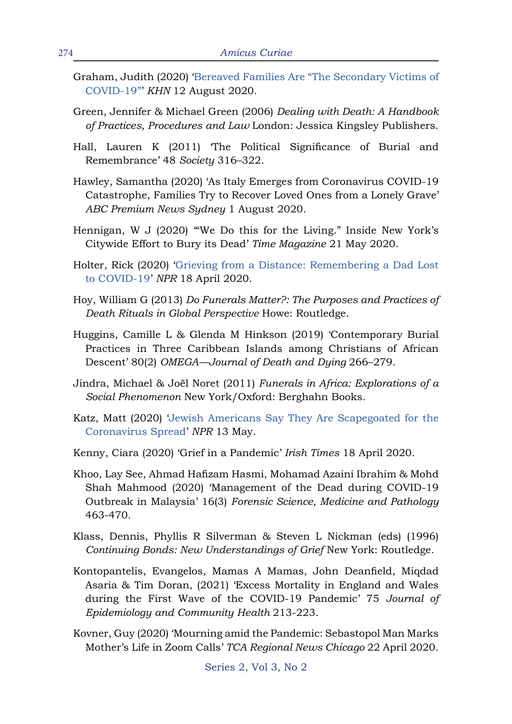- Graham, Judith (2020) ['Bereaved Families Are "The Secondary Victims of](https://khn.org/news/bereaved-families-are-the-secondary-victims-of-covid-19/) [COVID-19"](https://khn.org/news/bereaved-families-are-the-secondary-victims-of-covid-19/)' *KHN* 12 August 2020.
- Green, Jennifer & Michael Green (2006) *Dealing with Death: A Handbook of Practices, Procedures and Law* London: Jessica Kingsley Publishers.
- Hall, Lauren K (2011) 'The Political Significance of Burial and Remembrance' 48 *Society* 316–322.
- Hawley, Samantha (2020) 'As Italy Emerges from Coronavirus COVID-19 Catastrophe, Families Try to Recover Loved Ones from a Lonely Grave' *ABC Premium News Sydney* 1 August 2020.
- Hennigan, W J (2020) "We Do this for the Living." Inside New York's Citywide Effort to Bury its Dead' *Time Magazine* 21 May 2020.
- Holter, Rick (2020) '[Grieving from a Distance: Remembering a Dad Lost](https://www.npr.org/sections/health-shots/2020/04/18/837230693/grieving-from-a-distance-remembering-a-dad-lost-to-covid-19) [to COVID-19](https://www.npr.org/sections/health-shots/2020/04/18/837230693/grieving-from-a-distance-remembering-a-dad-lost-to-covid-19)' *NPR* 18 April 2020.
- Hoy, William G (2013) *Do Funerals Matter?: The Purposes and Practices of Death Rituals in Global Perspective* Howe: Routledge.
- Huggins, Camille L & Glenda M Hinkson (2019) 'Contemporary Burial Practices in Three Caribbean Islands among Christians of African Descent' 80(2) *OMEGA—Journal of Death and Dying* 266–279.
- Jindra, Michael & Joël Noret (2011) *Funerals in Africa: Explorations of a Social Phenomenon* New York/Oxford: Berghahn Books.
- Katz, Matt (2020) ['Jewish Americans Say They Are Scapegoated for the](https://www.npr.org/2020/05/13/854852779/jewish-americans-feel-scapegoated-for-the-coronavirus-spread?t=1608746845465) [Coronavirus Spread](https://www.npr.org/2020/05/13/854852779/jewish-americans-feel-scapegoated-for-the-coronavirus-spread?t=1608746845465)' *NPR* 13 May.
- Kenny, Ciara (2020) 'Grief in a Pandemic' *Irish Times* 18 April 2020.
- Khoo, Lay See, Ahmad Hafizam Hasmi, Mohamad Azaini Ibrahim & Mohd Shah Mahmood (2020) 'Management of the Dead during COVID-19 Outbreak in Malaysia' 16(3) *Forensic Science, Medicine and Pathology*  463-470.
- Klass, Dennis, Phyllis R Silverman & Steven L Nickman (eds) (1996) *Continuing Bonds: New Understandings of Grief* New York: Routledge.
- Kontopantelis, Evangelos, Mamas A Mamas, John Deanfield, Miqdad Asaria & Tim Doran, (2021) 'Excess Mortality in England and Wales during the First Wave of the COVID-19 Pandemic' 75 *Journal of Epidemiology and Community Health* 213-223.
- Kovner, Guy (2020) 'Mourning amid the Pandemic: Sebastopol Man Marks Mother's Life in Zoom Calls' *TCA Regional News Chicago* 22 April 2020.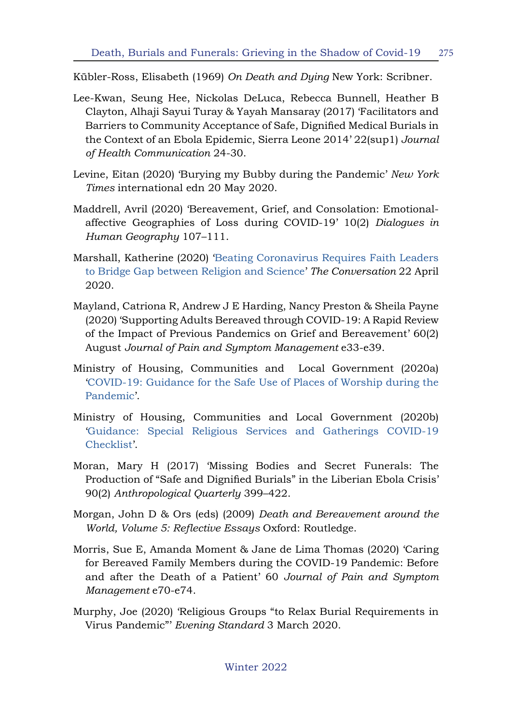Kübler-Ross, Elisabeth (1969) *On Death and Dying* New York: Scribner.

- Lee-Kwan, Seung Hee, Nickolas DeLuca, Rebecca Bunnell, Heather B Clayton, Alhaji Sayui Turay & Yayah Mansaray (2017) 'Facilitators and Barriers to Community Acceptance of Safe, Dignified Medical Burials in the Context of an Ebola Epidemic, Sierra Leone 2014' 22(sup1) *Journal of Health Communication* 24-30.
- Levine, Eitan (2020) 'Burying my Bubby during the Pandemic' *New York Times* international edn 20 May 2020.
- Maddrell, Avril (2020) 'Bereavement, Grief, and Consolation: Emotionalaffective Geographies of Loss during COVID-19' 10(2) *Dialogues in Human Geography* 107–111.
- Marshall, Katherine (2020) '[Beating Coronavirus Requires Faith Leaders](https://theconversation.com/beating-coronavirus-requires-faith-leaders-to-bridge-gap-between-religion-and-science-135388) [to Bridge Gap between Religion and Science](https://theconversation.com/beating-coronavirus-requires-faith-leaders-to-bridge-gap-between-religion-and-science-135388)' *The Conversation* 22 April 2020.
- Mayland, Catriona R, Andrew J E Harding, Nancy Preston & Sheila Payne (2020) 'Supporting Adults Bereaved through COVID-19: A Rapid Review of the Impact of Previous Pandemics on Grief and Bereavement' 60(2) August *Journal of Pain and Symptom Management* e33-e39.
- Ministry of Housing, Communities and Local Government (2020a) '[COVID-19: Guidance for the Safe Use of Places of Worship during the](https://www.gov.uk/government/publications/covid-19-guidance-for-the-safe-use-of-places-of-worship-during-the-pandemic-from-4-july/) [Pandemic](https://www.gov.uk/government/publications/covid-19-guidance-for-the-safe-use-of-places-of-worship-during-the-pandemic-from-4-july/)'.
- Ministry of Housing, Communities and Local Government (2020b) '[Guidance: Special Religious Services and Gatherings COVID-19](https://www.gov.uk/government/publications/covid-19-guidance-for-the-safe-use-of-places-of-worship-during-the-pandemic-from-4-july/special-religious-services-and-gatherings-covid-19-checklist) [Checklist'](https://www.gov.uk/government/publications/covid-19-guidance-for-the-safe-use-of-places-of-worship-during-the-pandemic-from-4-july/special-religious-services-and-gatherings-covid-19-checklist).
- Moran, Mary H (2017) 'Missing Bodies and Secret Funerals: The Production of "Safe and Dignified Burials" in the Liberian Ebola Crisis' 90(2) *Anthropological Quarterly* 399–422.
- Morgan, John D & Ors (eds) (2009) *Death and Bereavement around the World, Volume 5: Reflective Essays* Oxford: Routledge.
- Morris, Sue E, Amanda Moment & Jane de Lima Thomas (2020) 'Caring for Bereaved Family Members during the COVID-19 Pandemic: Before and after the Death of a Patient' 60 *Journal of Pain and Symptom Management* e70-e74.
- Murphy, Joe (2020) 'Religious Groups "to Relax Burial Requirements in Virus Pandemic"' *Evening Standard* 3 March 2020.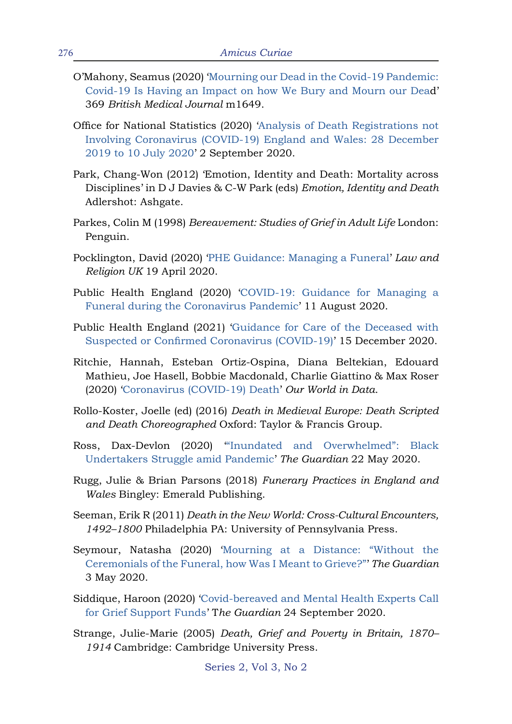- O'Mahony, Seamus (2020) '[Mourning our Dead in the Covid-19 Pandemic:](http://do.org/10.1136/bmj.m1649) [Covid-19 Is Having an Impact on how We Bury and Mourn our Dea](http://do.org/10.1136/bmj.m1649)d' 369 *British Medical Journal* m1649.
- Office for National Statistics (2020) '[Analysis of Death Registrations not](https://www.ons.gov.uk/peoplepopulationandcommunity/birthsdeathsandmarriages/deaths/articles/analysisofdeathregistrationsnotinvolvingcoronaviruscovid19englandandwales28december2019to1may2020/28december2019to10july2020) [Involving Coronavirus \(COVID-19\) England and Wales: 28 December](https://www.ons.gov.uk/peoplepopulationandcommunity/birthsdeathsandmarriages/deaths/articles/analysisofdeathregistrationsnotinvolvingcoronaviruscovid19englandandwales28december2019to1may2020/28december2019to10july2020) [2019 to 10 July 2020'](https://www.ons.gov.uk/peoplepopulationandcommunity/birthsdeathsandmarriages/deaths/articles/analysisofdeathregistrationsnotinvolvingcoronaviruscovid19englandandwales28december2019to1may2020/28december2019to10july2020) 2 September 2020.
- Park, Chang-Won (2012) 'Emotion, Identity and Death: Mortality across Disciplines' in D J Davies & C-W Park (eds) *Emotion, Identity and Death* Adlershot: Ashgate.
- Parkes, Colin M (1998) *Bereavement: Studies of Grief in Adult Life* London: Penguin.
- Pocklington, David (2020) ['PHE Guidance: Managing a Funeral](https://lawandreligionuk.com/2020/04/19/phe-guidance-managing-a-funeral/)' *Law and Religion UK* 19 April 2020.
- Public Health England (2020) ['COVID-19: Guidance for Managing a](https://www.gov.uk/government/publications/covid-19-guidance-for-managing-a-funeral-during-the-coronavirus-pandemic/covid-19-guidance-for-managing-a-funeral-during-the-coronavirus-pandemic) [Funeral during the Coronavirus Pandemic](https://www.gov.uk/government/publications/covid-19-guidance-for-managing-a-funeral-during-the-coronavirus-pandemic/covid-19-guidance-for-managing-a-funeral-during-the-coronavirus-pandemic)' 11 August 2020.
- Public Health England (2021) '[Guidance for Care of the Deceased with](https://www.gov.uk/government/publications/covid-19-guidance-for-care-of-the-deceased/guidance-for-care-of-the-deceased-with-suspected-or-confirmed-coronavirus-covid-19) [Suspected or Confirmed Coronavirus \(COVID-19\)'](https://www.gov.uk/government/publications/covid-19-guidance-for-care-of-the-deceased/guidance-for-care-of-the-deceased-with-suspected-or-confirmed-coronavirus-covid-19) 15 December 2020.
- Ritchie, Hannah, Esteban Ortiz-Ospina, Diana Beltekian, Edouard Mathieu, Joe Hasell, Bobbie Macdonald, Charlie Giattino & Max Roser (2020) '[Coronavirus \(COVID-19\) Death](https://ourworldindata.org/covid-deaths)' *Our World in Data*.
- Rollo-Koster, Joelle (ed) (2016) *Death in Medieval Europe: Death Scripted and Death Choreographed* Oxford: Taylor & Francis Group.
- Ross, Dax-Devlon (2020) '["Inundated and Overwhelmed": Black](mailto:https://www.theguardian.com/society/2020/may/22/black-undertakers-struggle-pandemic-coronavirus?subject=) [Undertakers Struggle amid Pandemic](mailto:https://www.theguardian.com/society/2020/may/22/black-undertakers-struggle-pandemic-coronavirus?subject=)' *The Guardian* 22 May 2020.
- Rugg, Julie & Brian Parsons (2018) *Funerary Practices in England and Wales* Bingley: Emerald Publishing.
- Seeman, Erik R (2011) *Death in the New World: Cross-Cultural Encounters, 1492–1800* Philadelphia PA: University of Pennsylvania Press.
- Seymour, Natasha (2020) '[Mourning at a Distance: "Without the](https://www.theguardian.com/lifeandstyle/2020/may/04/mourning-at-a-distance-coronavirus-without-ceremonials-of-the-funeral-how-was-i-meant-to-grieve) [Ceremonials of the Funeral, how Was I Meant to Grieve?"](https://www.theguardian.com/lifeandstyle/2020/may/04/mourning-at-a-distance-coronavirus-without-ceremonials-of-the-funeral-how-was-i-meant-to-grieve)' *The Guardian*  3 May 2020.
- Siddique, Haroon (2020) ['Covid-bereaved and Mental Health Experts Call](https://www.theguardian.com/society/2020/sep/24/covid-bereaved-and-mental-health-experts-call-for-grief-support-funds) [for Grief Support Funds](https://www.theguardian.com/society/2020/sep/24/covid-bereaved-and-mental-health-experts-call-for-grief-support-funds)' T*he Guardian* 24 September 2020.
- Strange, Julie-Marie (2005) *Death, Grief and Poverty in Britain, 1870– 1914* Cambridge: Cambridge University Press.

Series 2, Vol 3, No 2